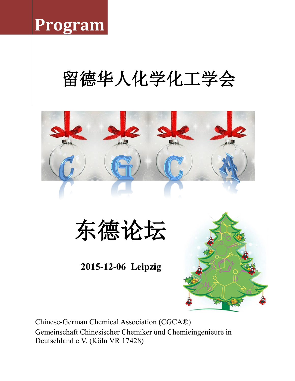## **Program**

# 留德华人化学化工学会



东德论坛

### **2015-12-06 Leipzig**



Chinese-German Chemical Association (CGCA®) Gemeinschaft Chinesischer Chemiker und Chemieingenieure in Deutschland e.V. (Köln VR 17428)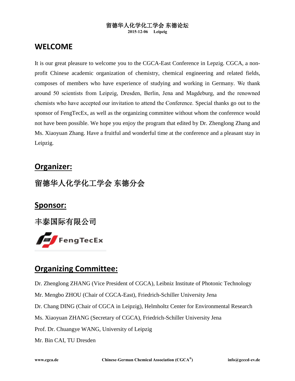### 留德华人化学化工学会 东德论坛

#### **2015-12-06 Leipzig**

### **WELCOME**

It is our great pleasure to welcome you to the CGCA-East Conference in Lepzig. CGCA, a nonprofit Chinese academic organization of chemistry, chemical engineering and related fields, composes of members who have experience of studying and working in Germany. We thank around 50 scientists from Leipzig, Dresden, Berlin, Jena and Magdeburg, and the renowned chemists who have accepted our invitation to attend the Conference. Special thanks go out to the sponsor of FengTecEx, as well as the organizing committee without whom the conference would not have been possible. We hope you enjoy the program that edited by Dr. Zhenglong Zhang and Ms. Xiaoyuan Zhang. Have a fruitful and wonderful time at the conference and a pleasant stay in Leipzig.

### **Organizer:**

### 留德华人化学化工学会 东德分会

### **Sponsor:**

丰泰国际有限公司



### **Organizing Committee:**

Dr. Zhenglong ZHANG (Vice President of CGCA), Leibniz Institute of Photonic Technology

Mr. Mengbo ZHOU (Chair of CGCA-East), Friedrich-Schiller University Jena

Dr. Chang DING (Chair of CGCA in Leipzig), Helmholtz Center for Environmental Research

Ms. Xiaoyuan ZHANG (Secretary of CGCA), Friedrich-Schiller University Jena

Prof. Dr. Chuangye WANG, University of Leipzig

Mr. Bin CAI, TU Dresden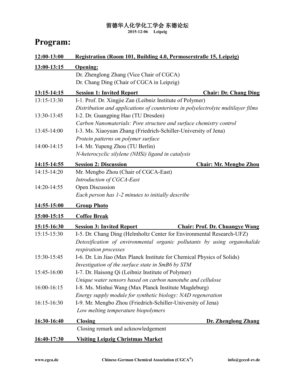### 留德华人化学化工学会 东德论坛

**2015-12-06 Leipzig**

### **Program:**

| 12:00-13:00 | Registration (Room 101, Building 4.0, Permoserstraße 15, Leipzig)                                                                                                          |
|-------------|----------------------------------------------------------------------------------------------------------------------------------------------------------------------------|
| 13:00-13:15 | <b>Opening:</b><br>Dr. Zhenglong Zhang (Vice Chair of CGCA)<br>Dr. Chang Ding (Chair of CGCA in Leipzig)                                                                   |
| 13:15-14:15 | <b>Session 1: Invited Report</b><br><b>Chair: Dr. Chang Ding</b>                                                                                                           |
| 13:15-13:30 | I-1. Prof. Dr. Xingjie Zan (Leibniz Institute of Polymer)<br>Distribution and applications of counterions in polyelectrolyte multilayer films                              |
| 13:30-13:45 | I-2. Dr. Guangping Hao (TU Dresden)<br>Carbon Nanomaterials: Pore structure and surface chemistry control                                                                  |
| 13:45-14:00 | I-3. Ms. Xiaoyuan Zhang (Friedrich-Schiller-University of Jena)<br>Protein patterns on polymer surface                                                                     |
| 14:00-14:15 | I-4. Mr. Yupeng Zhou (TU Berlin)<br>N-heterocyclic silylene (NHSi) ligand in catalysis                                                                                     |
| 14:15-14:55 | <b>Session 2: Discussion</b><br><b>Chair: Mr. Mengbo Zhou</b>                                                                                                              |
| 14:15-14:20 | Mr. Mengbo Zhou (Chair of CGCA-East)<br>Introduction of CGCA-East                                                                                                          |
| 14:20-14:55 | Open Discussion<br>Each person has 1-2 minutes to initially describe                                                                                                       |
| 14:55-15:00 | <b>Group Photo</b>                                                                                                                                                         |
| 15:00-15:15 | <b>Coffee Break</b>                                                                                                                                                        |
| 15:15-16:30 | <b>Session 3: Invited Report</b><br><b>Chair: Prof. Dr. Chuangye Wang</b>                                                                                                  |
| 15:15-15:30 | I-5. Dr. Chang Ding (Helmholtz Center for Environmental Research-UFZ)<br>Detoxification of environmental organic pollutants by using organohalide<br>respiration processes |
| 15:30-15:45 | I-6. Dr. Lin Jiao (Max Planck Institute for Chemical Physics of Solids)<br>Investigation of the surface state in SmB6 by STM                                               |
| 15:45-16:00 | I-7. Dr. Haisong Qi (Leibniz Institute of Polymer)<br>Unique water sensors based on carbon nanotube and cellulose                                                          |
| 16:00-16:15 | I-8. Ms. Minhui Wang (Max Planck Institute Magdeburg)<br>Energy supply module for synthetic biology: NAD regeneration                                                      |
| 16:15-16:30 | I-9. Mr. Mengbo Zhou (Friedrich-Schiller-University of Jena)<br>Low melting temperature biopolymers                                                                        |
| 16:30-16:40 | <b>Closing</b><br>Dr. Zhenglong Zhang                                                                                                                                      |
|             | Closing remark and acknowledgement                                                                                                                                         |
| 16:40-17:30 | <u>Visiting Leipzig Christmas Market</u>                                                                                                                                   |